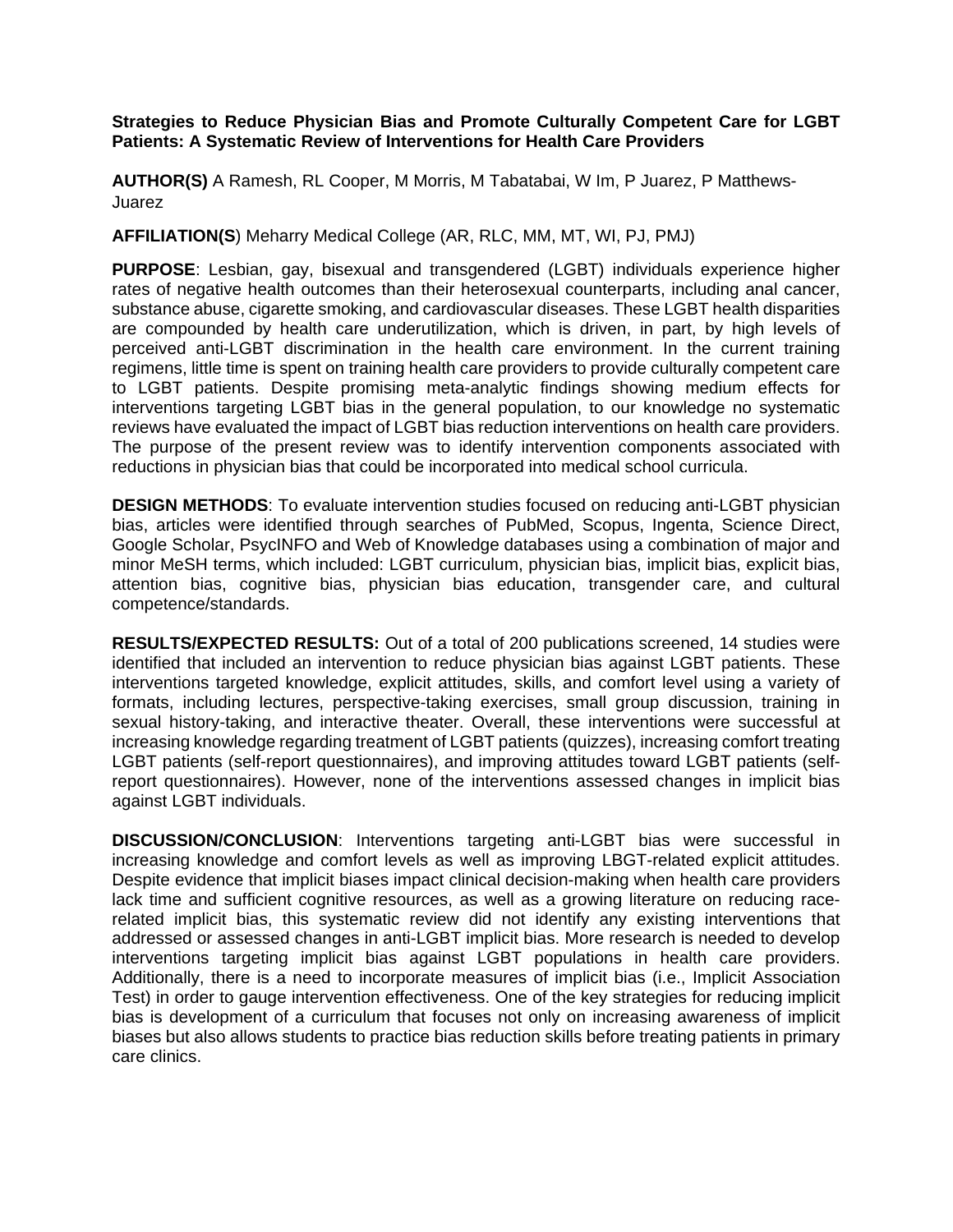**Strategies to Reduce Physician Bias and Promote Culturally Competent Care for LGBT Patients: A Systematic Review of Interventions for Health Care Providers** 

**AUTHOR(S)** A Ramesh, RL Cooper, M Morris, M Tabatabai, W Im, P Juarez, P Matthews-Juarez

**AFFILIATION(S**) Meharry Medical College (AR, RLC, MM, MT, WI, PJ, PMJ)

**PURPOSE**: Lesbian, gay, bisexual and transgendered (LGBT) individuals experience higher rates of negative health outcomes than their heterosexual counterparts, including anal cancer, substance abuse, cigarette smoking, and cardiovascular diseases. These LGBT health disparities are compounded by health care underutilization, which is driven, in part, by high levels of perceived anti-LGBT discrimination in the health care environment. In the current training regimens, little time is spent on training health care providers to provide culturally competent care to LGBT patients. Despite promising meta-analytic findings showing medium effects for interventions targeting LGBT bias in the general population, to our knowledge no systematic reviews have evaluated the impact of LGBT bias reduction interventions on health care providers. The purpose of the present review was to identify intervention components associated with reductions in physician bias that could be incorporated into medical school curricula.

**DESIGN METHODS**: To evaluate intervention studies focused on reducing anti-LGBT physician bias, articles were identified through searches of PubMed, Scopus, Ingenta, Science Direct, Google Scholar, PsycINFO and Web of Knowledge databases using a combination of major and minor MeSH terms, which included: LGBT curriculum, physician bias, implicit bias, explicit bias, attention bias, cognitive bias, physician bias education, transgender care, and cultural competence/standards.

**RESULTS/EXPECTED RESULTS:** Out of a total of 200 publications screened, 14 studies were identified that included an intervention to reduce physician bias against LGBT patients. These interventions targeted knowledge, explicit attitudes, skills, and comfort level using a variety of formats, including lectures, perspective-taking exercises, small group discussion, training in sexual history-taking, and interactive theater. Overall, these interventions were successful at increasing knowledge regarding treatment of LGBT patients (quizzes), increasing comfort treating LGBT patients (self-report questionnaires), and improving attitudes toward LGBT patients (selfreport questionnaires). However, none of the interventions assessed changes in implicit bias against LGBT individuals.

**DISCUSSION/CONCLUSION**: Interventions targeting anti-LGBT bias were successful in increasing knowledge and comfort levels as well as improving LBGT-related explicit attitudes. Despite evidence that implicit biases impact clinical decision-making when health care providers lack time and sufficient cognitive resources, as well as a growing literature on reducing racerelated implicit bias, this systematic review did not identify any existing interventions that addressed or assessed changes in anti-LGBT implicit bias. More research is needed to develop interventions targeting implicit bias against LGBT populations in health care providers. Additionally, there is a need to incorporate measures of implicit bias (i.e., Implicit Association Test) in order to gauge intervention effectiveness. One of the key strategies for reducing implicit bias is development of a curriculum that focuses not only on increasing awareness of implicit biases but also allows students to practice bias reduction skills before treating patients in primary care clinics.